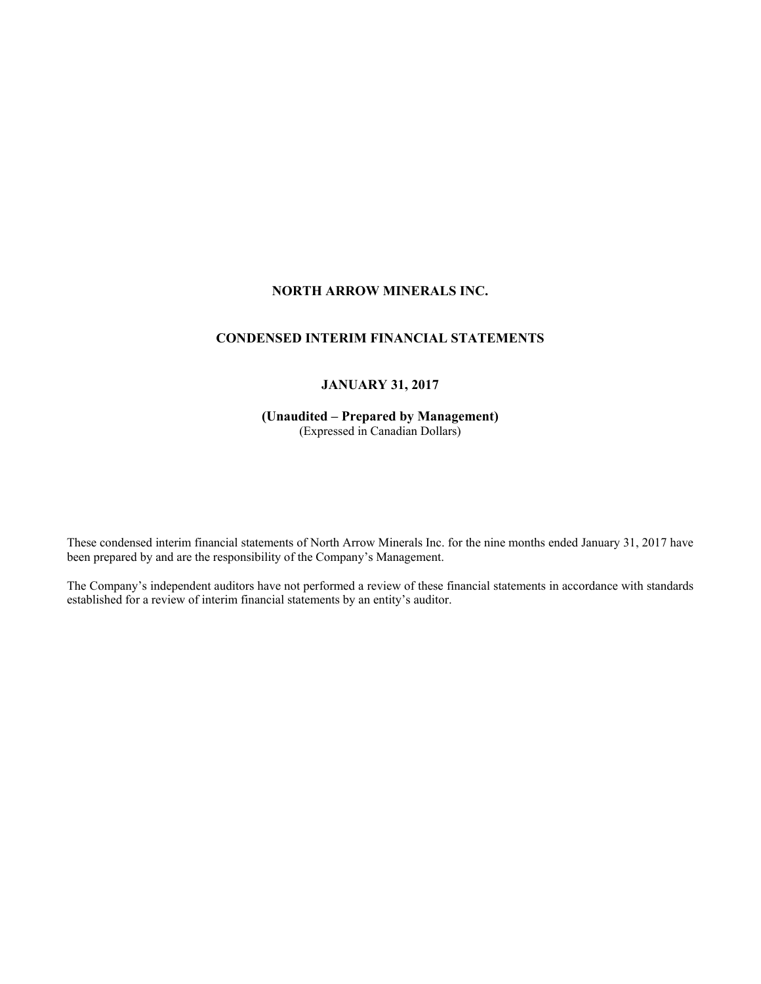# **NORTH ARROW MINERALS INC.**

# **CONDENSED INTERIM FINANCIAL STATEMENTS**

# **JANUARY 31, 2017**

**(Unaudited – Prepared by Management)**  (Expressed in Canadian Dollars)

These condensed interim financial statements of North Arrow Minerals Inc. for the nine months ended January 31, 2017 have been prepared by and are the responsibility of the Company's Management.

The Company's independent auditors have not performed a review of these financial statements in accordance with standards established for a review of interim financial statements by an entity's auditor.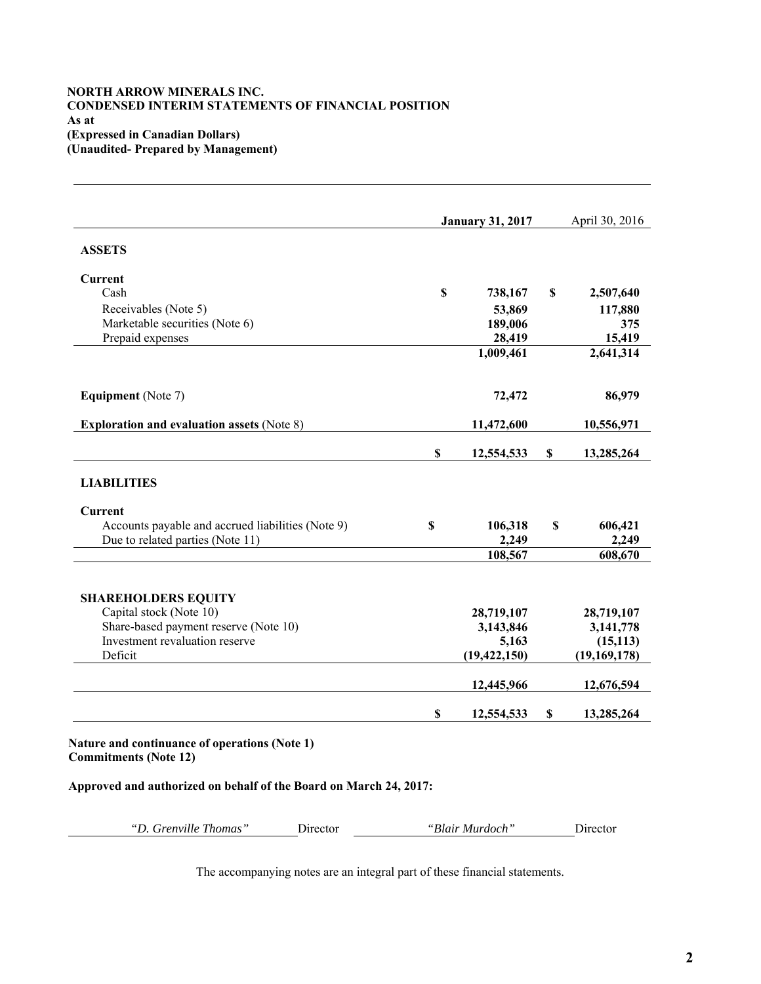### **NORTH ARROW MINERALS INC. CONDENSED INTERIM STATEMENTS OF FINANCIAL POSITION As at (Expressed in Canadian Dollars) (Unaudited- Prepared by Management)**

|                                                   | <b>January 31, 2017</b> |                           | April 30, 2016 |
|---------------------------------------------------|-------------------------|---------------------------|----------------|
| <b>ASSETS</b>                                     |                         |                           |                |
| Current                                           |                         |                           |                |
| Cash                                              | \$<br>738,167           | \$                        | 2,507,640      |
| Receivables (Note 5)                              | 53,869                  |                           | 117,880        |
| Marketable securities (Note 6)                    | 189,006                 |                           | 375            |
| Prepaid expenses                                  | 28,419                  |                           | 15,419         |
|                                                   | 1,009,461               |                           | 2,641,314      |
| <b>Equipment</b> (Note 7)                         | 72,472                  |                           | 86,979         |
| <b>Exploration and evaluation assets (Note 8)</b> | 11,472,600              |                           | 10,556,971     |
|                                                   | \$<br>12,554,533        | \$                        | 13,285,264     |
| <b>LIABILITIES</b>                                |                         |                           |                |
| Current                                           |                         |                           |                |
| Accounts payable and accrued liabilities (Note 9) | \$<br>106,318           | $\boldsymbol{\mathsf{S}}$ | 606,421        |
| Due to related parties (Note 11)                  | 2,249                   |                           | 2,249          |
|                                                   | 108,567                 |                           | 608,670        |
| <b>SHAREHOLDERS EQUITY</b>                        |                         |                           |                |
| Capital stock (Note 10)                           | 28,719,107              |                           | 28,719,107     |
| Share-based payment reserve (Note 10)             | 3,143,846               |                           | 3,141,778      |
| Investment revaluation reserve                    | 5,163                   |                           | (15, 113)      |
| Deficit                                           | (19, 422, 150)          |                           | (19, 169, 178) |
|                                                   | 12,445,966              |                           | 12,676,594     |
|                                                   | \$<br>12,554,533        | \$                        | 13,285,264     |

**Approved and authorized on behalf of the Board on March 24, 2017:**

*"D. Grenville Thomas"* Director *"Blair Murdoch"* Director

The accompanying notes are an integral part of these financial statements.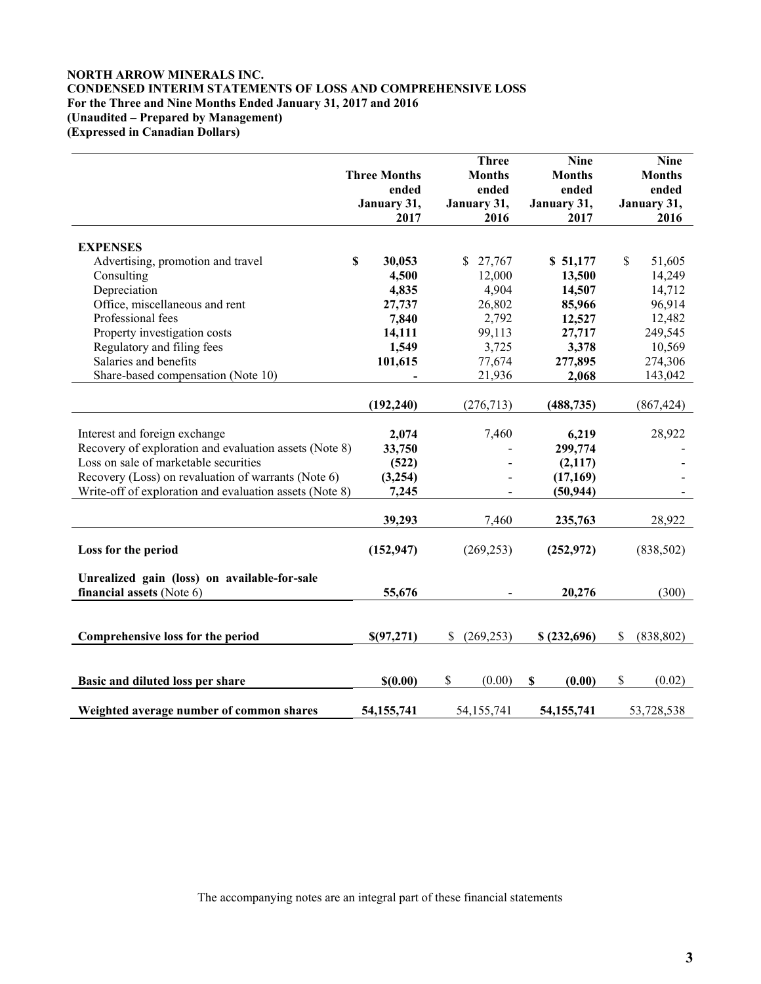## **NORTH ARROW MINERALS INC. CONDENSED INTERIM STATEMENTS OF LOSS AND COMPREHENSIVE LOSS For the Three and Nine Months Ended January 31, 2017 and 2016 (Unaudited – Prepared by Management) (Expressed in Canadian Dollars)**

|                                                         |                     | <b>Three</b>     | <b>Nine</b>           | <b>Nine</b>      |
|---------------------------------------------------------|---------------------|------------------|-----------------------|------------------|
|                                                         | <b>Three Months</b> | <b>Months</b>    | <b>Months</b>         | <b>Months</b>    |
|                                                         | ended               | ended            | ended                 | ended            |
|                                                         | January 31,         | January 31,      | January 31,           | January 31,      |
|                                                         | 2017                | 2016             | 2017                  | 2016             |
|                                                         |                     |                  |                       |                  |
| <b>EXPENSES</b>                                         |                     |                  |                       |                  |
| Advertising, promotion and travel                       | \$<br>30,053        | \$27,767         | \$51,177              | \$<br>51,605     |
| Consulting                                              | 4,500               | 12,000           | 13,500                | 14,249           |
| Depreciation                                            | 4,835               | 4,904            | 14,507                | 14,712           |
| Office, miscellaneous and rent                          | 27,737              | 26,802           | 85,966                | 96,914           |
| Professional fees                                       | 7,840               | 2,792            | 12,527                | 12,482           |
| Property investigation costs                            | 14,111              | 99,113           | 27,717                | 249,545          |
| Regulatory and filing fees                              | 1,549               | 3,725            | 3,378                 | 10,569           |
| Salaries and benefits                                   | 101,615             | 77,674           | 277,895               | 274,306          |
| Share-based compensation (Note 10)                      |                     | 21,936           | 2,068                 | 143,042          |
|                                                         |                     |                  |                       |                  |
|                                                         | (192, 240)          | (276, 713)       | (488, 735)            | (867, 424)       |
| Interest and foreign exchange                           | 2,074               | 7,460            | 6,219                 | 28,922           |
| Recovery of exploration and evaluation assets (Note 8)  | 33,750              |                  | 299,774               |                  |
| Loss on sale of marketable securities                   |                     |                  |                       |                  |
| Recovery (Loss) on revaluation of warrants (Note 6)     | (522)               |                  | (2,117)               |                  |
| Write-off of exploration and evaluation assets (Note 8) | (3,254)<br>7,245    |                  | (17, 169)             |                  |
|                                                         |                     |                  | (50, 944)             |                  |
|                                                         | 39,293              | 7,460            | 235,763               | 28,922           |
|                                                         |                     |                  |                       |                  |
| Loss for the period                                     | (152, 947)          | (269, 253)       | (252, 972)            | (838, 502)       |
|                                                         |                     |                  |                       |                  |
| Unrealized gain (loss) on available-for-sale            |                     |                  |                       |                  |
| financial assets (Note 6)                               | 55,676              |                  | 20,276                | (300)            |
|                                                         |                     |                  |                       |                  |
|                                                         |                     |                  |                       |                  |
| Comprehensive loss for the period                       | \$(97,271)          | \$<br>(269, 253) | \$(232,696)           | \$<br>(838, 802) |
|                                                         |                     |                  |                       |                  |
|                                                         |                     |                  |                       |                  |
| Basic and diluted loss per share                        | \$(0.00)            | $\$$<br>(0.00)   | $\mathbf S$<br>(0.00) | $\$$<br>(0.02)   |
|                                                         |                     |                  |                       |                  |
| Weighted average number of common shares                | 54, 155, 741        | 54,155,741       | 54, 155, 741          | 53,728,538       |

The accompanying notes are an integral part of these financial statements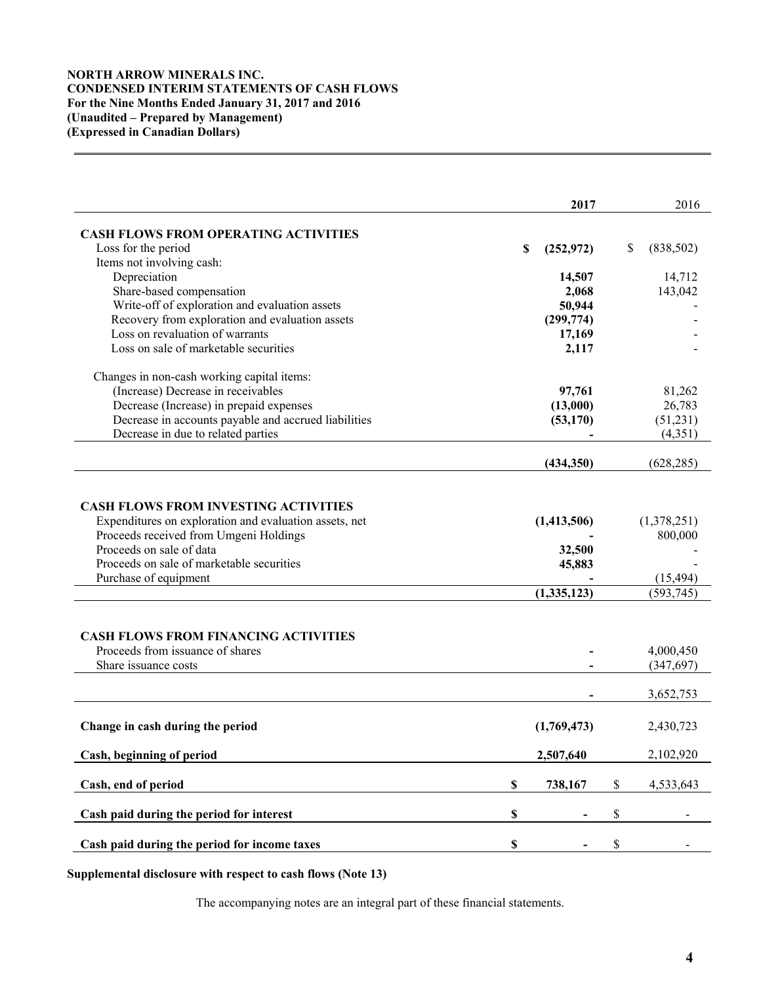## **NORTH ARROW MINERALS INC. CONDENSED INTERIM STATEMENTS OF CASH FLOWS For the Nine Months Ended January 31, 2017 and 2016 (Unaudited – Prepared by Management) (Expressed in Canadian Dollars)**

|                                                                                                                                                                                                                                                                                                                                                              |             | 2017                                           |    | 2016                                                                        |
|--------------------------------------------------------------------------------------------------------------------------------------------------------------------------------------------------------------------------------------------------------------------------------------------------------------------------------------------------------------|-------------|------------------------------------------------|----|-----------------------------------------------------------------------------|
| <b>CASH FLOWS FROM OPERATING ACTIVITIES</b>                                                                                                                                                                                                                                                                                                                  |             |                                                |    |                                                                             |
| Loss for the period                                                                                                                                                                                                                                                                                                                                          | S           | (252, 972)                                     | S. | (838,502)                                                                   |
| Items not involving cash:                                                                                                                                                                                                                                                                                                                                    |             |                                                |    |                                                                             |
| Depreciation                                                                                                                                                                                                                                                                                                                                                 |             | 14,507                                         |    | 14,712                                                                      |
| Share-based compensation                                                                                                                                                                                                                                                                                                                                     |             | 2,068                                          |    | 143,042                                                                     |
| Write-off of exploration and evaluation assets                                                                                                                                                                                                                                                                                                               |             | 50,944                                         |    |                                                                             |
| Recovery from exploration and evaluation assets                                                                                                                                                                                                                                                                                                              |             | (299, 774)                                     |    |                                                                             |
| Loss on revaluation of warrants                                                                                                                                                                                                                                                                                                                              |             | 17,169                                         |    |                                                                             |
| Loss on sale of marketable securities                                                                                                                                                                                                                                                                                                                        |             | 2,117                                          |    |                                                                             |
| Changes in non-cash working capital items:                                                                                                                                                                                                                                                                                                                   |             |                                                |    |                                                                             |
| (Increase) Decrease in receivables                                                                                                                                                                                                                                                                                                                           |             | 97,761                                         |    | 81,262                                                                      |
| Decrease (Increase) in prepaid expenses                                                                                                                                                                                                                                                                                                                      |             | (13,000)                                       |    | 26,783                                                                      |
| Decrease in accounts payable and accrued liabilities                                                                                                                                                                                                                                                                                                         |             | (53, 170)                                      |    | (51,231)                                                                    |
| Decrease in due to related parties                                                                                                                                                                                                                                                                                                                           |             |                                                |    | (4,351)                                                                     |
|                                                                                                                                                                                                                                                                                                                                                              |             | (434, 350)                                     |    | (628, 285)                                                                  |
| <b>CASH FLOWS FROM INVESTING ACTIVITIES</b><br>Expenditures on exploration and evaluation assets, net<br>Proceeds received from Umgeni Holdings<br>Proceeds on sale of data<br>Proceeds on sale of marketable securities<br>Purchase of equipment<br><b>CASH FLOWS FROM FINANCING ACTIVITIES</b><br>Proceeds from issuance of shares<br>Share issuance costs |             | (1,413,506)<br>32,500<br>45,883<br>(1,335,123) |    | (1,378,251)<br>800,000<br>(15, 494)<br>(593, 745)<br>4,000,450<br>(347,697) |
|                                                                                                                                                                                                                                                                                                                                                              |             |                                                |    | 3,652,753                                                                   |
| Change in cash during the period                                                                                                                                                                                                                                                                                                                             |             | (1,769,473)                                    |    | 2,430,723                                                                   |
| Cash, beginning of period                                                                                                                                                                                                                                                                                                                                    |             | 2,507,640                                      |    | 2,102,920                                                                   |
| Cash, end of period                                                                                                                                                                                                                                                                                                                                          | $\mathbb S$ | 738,167                                        | \$ | 4,533,643                                                                   |
| Cash paid during the period for interest                                                                                                                                                                                                                                                                                                                     | $\mathbb S$ |                                                | \$ |                                                                             |
|                                                                                                                                                                                                                                                                                                                                                              |             |                                                |    |                                                                             |
| Cash paid during the period for income taxes                                                                                                                                                                                                                                                                                                                 | \$          |                                                | \$ |                                                                             |

**Supplemental disclosure with respect to cash flows (Note 13)** 

The accompanying notes are an integral part of these financial statements.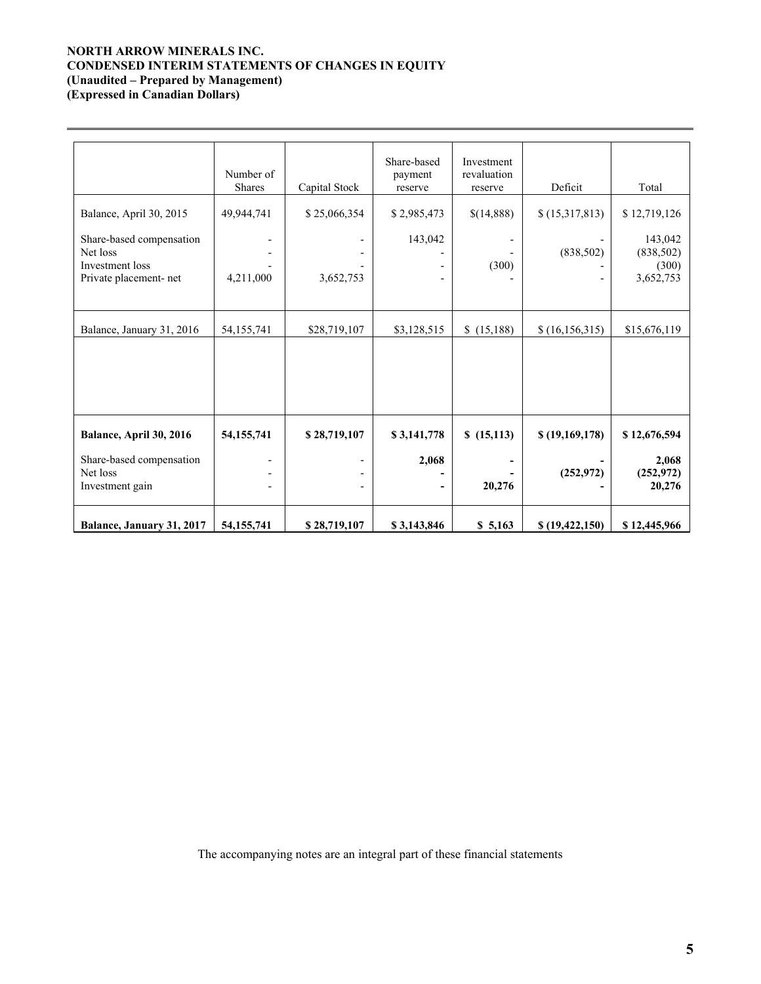## **NORTH ARROW MINERALS INC. CONDENSED INTERIM STATEMENTS OF CHANGES IN EQUITY (Unaudited – Prepared by Management) (Expressed in Canadian Dollars)**

 $\overline{a}$ 

|                                                                                                              | Number of<br><b>Shares</b> | Capital Stock             | Share-based<br>payment<br>reserve | Investment<br>revaluation<br>reserve | Deficit                      | Total                                                       |
|--------------------------------------------------------------------------------------------------------------|----------------------------|---------------------------|-----------------------------------|--------------------------------------|------------------------------|-------------------------------------------------------------|
| Balance, April 30, 2015<br>Share-based compensation<br>Net loss<br>Investment loss<br>Private placement- net | 49,944,741<br>4,211,000    | \$25,066,354<br>3,652,753 | \$2,985,473<br>143,042            | \$(14,888)<br>(300)                  | \$(15,317,813)<br>(838, 502) | \$12,719,126<br>143,042<br>(838, 502)<br>(300)<br>3,652,753 |
| Balance, January 31, 2016                                                                                    | 54,155,741                 | \$28,719,107              | \$3,128,515                       | \$(15,188)                           | \$(16, 156, 315)             | \$15,676,119                                                |
| Balance, April 30, 2016<br>Share-based compensation<br>Net loss<br>Investment gain                           | 54, 155, 741               | \$28,719,107              | \$3,141,778<br>2,068              | \$(15,113)<br>20,276                 | \$(19,169,178)<br>(252, 972) | \$12,676,594<br>2,068<br>(252, 972)<br>20,276               |
| Balance, January 31, 2017                                                                                    | 54, 155, 741               | \$28,719,107              | \$3,143,846                       | \$5,163                              | \$(19, 422, 150)             | \$12,445,966                                                |

The accompanying notes are an integral part of these financial statements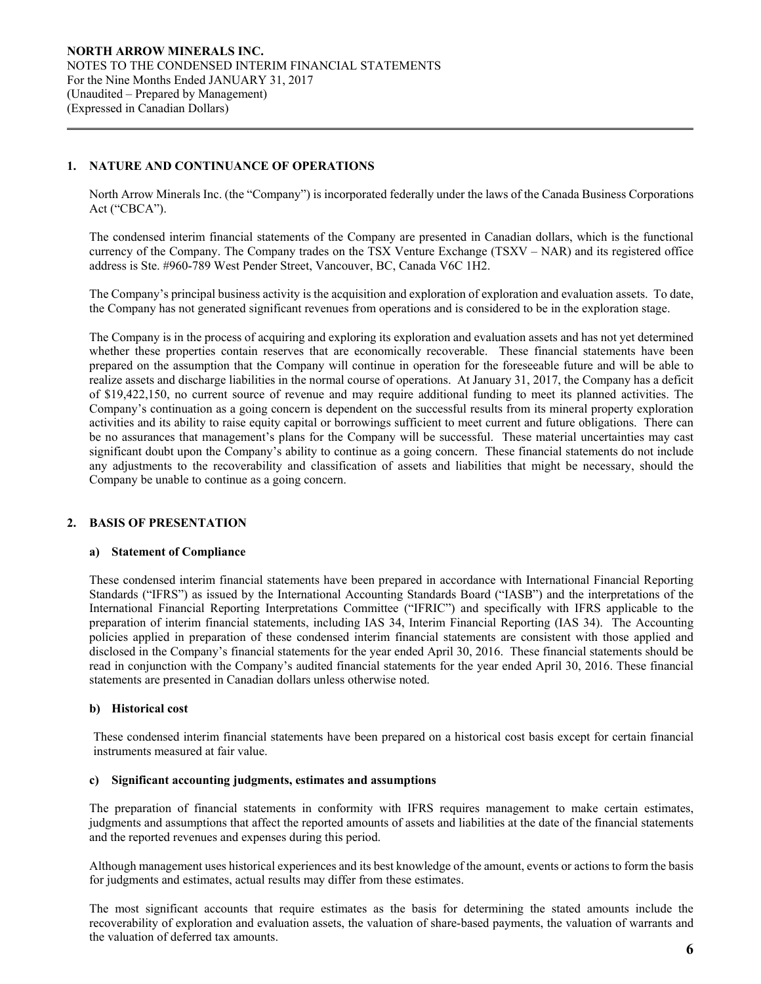## **1. NATURE AND CONTINUANCE OF OPERATIONS**

 $\overline{a}$ 

North Arrow Minerals Inc. (the "Company") is incorporated federally under the laws of the Canada Business Corporations Act ("CBCA").

The condensed interim financial statements of the Company are presented in Canadian dollars, which is the functional currency of the Company. The Company trades on the TSX Venture Exchange (TSXV – NAR) and its registered office address is Ste. #960-789 West Pender Street, Vancouver, BC, Canada V6C 1H2.

The Company's principal business activity is the acquisition and exploration of exploration and evaluation assets. To date, the Company has not generated significant revenues from operations and is considered to be in the exploration stage.

The Company is in the process of acquiring and exploring its exploration and evaluation assets and has not yet determined whether these properties contain reserves that are economically recoverable. These financial statements have been prepared on the assumption that the Company will continue in operation for the foreseeable future and will be able to realize assets and discharge liabilities in the normal course of operations. At January 31, 2017, the Company has a deficit of \$19,422,150, no current source of revenue and may require additional funding to meet its planned activities. The Company's continuation as a going concern is dependent on the successful results from its mineral property exploration activities and its ability to raise equity capital or borrowings sufficient to meet current and future obligations. There can be no assurances that management's plans for the Company will be successful. These material uncertainties may cast significant doubt upon the Company's ability to continue as a going concern. These financial statements do not include any adjustments to the recoverability and classification of assets and liabilities that might be necessary, should the Company be unable to continue as a going concern.

# **2. BASIS OF PRESENTATION**

#### **a) Statement of Compliance**

These condensed interim financial statements have been prepared in accordance with International Financial Reporting Standards ("IFRS") as issued by the International Accounting Standards Board ("IASB") and the interpretations of the International Financial Reporting Interpretations Committee ("IFRIC") and specifically with IFRS applicable to the preparation of interim financial statements, including IAS 34, Interim Financial Reporting (IAS 34). The Accounting policies applied in preparation of these condensed interim financial statements are consistent with those applied and disclosed in the Company's financial statements for the year ended April 30, 2016. These financial statements should be read in conjunction with the Company's audited financial statements for the year ended April 30, 2016. These financial statements are presented in Canadian dollars unless otherwise noted.

## **b) Historical cost**

These condensed interim financial statements have been prepared on a historical cost basis except for certain financial instruments measured at fair value.

#### **c) Significant accounting judgments, estimates and assumptions**

The preparation of financial statements in conformity with IFRS requires management to make certain estimates, judgments and assumptions that affect the reported amounts of assets and liabilities at the date of the financial statements and the reported revenues and expenses during this period.

Although management uses historical experiences and its best knowledge of the amount, events or actions to form the basis for judgments and estimates, actual results may differ from these estimates.

The most significant accounts that require estimates as the basis for determining the stated amounts include the recoverability of exploration and evaluation assets, the valuation of share-based payments, the valuation of warrants and the valuation of deferred tax amounts.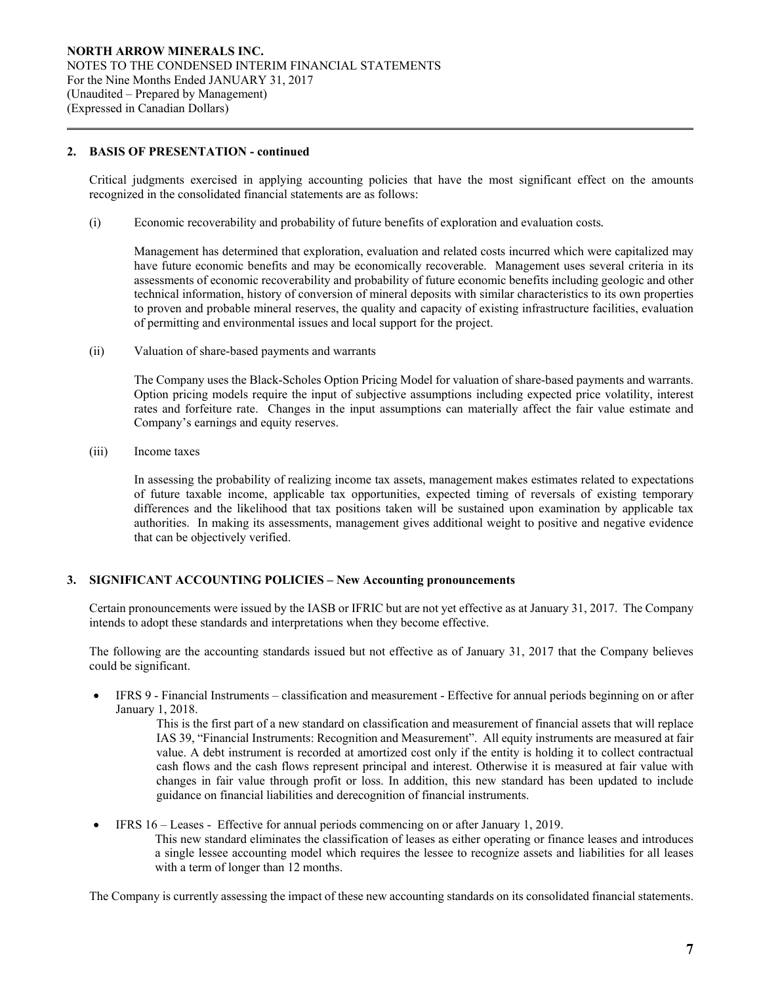### **2. BASIS OF PRESENTATION - continued**

 $\overline{a}$ 

Critical judgments exercised in applying accounting policies that have the most significant effect on the amounts recognized in the consolidated financial statements are as follows:

(i) Economic recoverability and probability of future benefits of exploration and evaluation costs*.* 

 Management has determined that exploration, evaluation and related costs incurred which were capitalized may have future economic benefits and may be economically recoverable. Management uses several criteria in its assessments of economic recoverability and probability of future economic benefits including geologic and other technical information, history of conversion of mineral deposits with similar characteristics to its own properties to proven and probable mineral reserves, the quality and capacity of existing infrastructure facilities, evaluation of permitting and environmental issues and local support for the project.

(ii) Valuation of share-based payments and warrants

The Company uses the Black-Scholes Option Pricing Model for valuation of share-based payments and warrants. Option pricing models require the input of subjective assumptions including expected price volatility, interest rates and forfeiture rate. Changes in the input assumptions can materially affect the fair value estimate and Company's earnings and equity reserves.

(iii) Income taxes

In assessing the probability of realizing income tax assets, management makes estimates related to expectations of future taxable income, applicable tax opportunities, expected timing of reversals of existing temporary differences and the likelihood that tax positions taken will be sustained upon examination by applicable tax authorities. In making its assessments, management gives additional weight to positive and negative evidence that can be objectively verified.

## **3. SIGNIFICANT ACCOUNTING POLICIES – New Accounting pronouncements**

Certain pronouncements were issued by the IASB or IFRIC but are not yet effective as at January 31, 2017. The Company intends to adopt these standards and interpretations when they become effective.

The following are the accounting standards issued but not effective as of January 31, 2017 that the Company believes could be significant.

 IFRS 9 - Financial Instruments – classification and measurement - Effective for annual periods beginning on or after January 1, 2018.

> This is the first part of a new standard on classification and measurement of financial assets that will replace IAS 39, "Financial Instruments: Recognition and Measurement". All equity instruments are measured at fair value. A debt instrument is recorded at amortized cost only if the entity is holding it to collect contractual cash flows and the cash flows represent principal and interest. Otherwise it is measured at fair value with changes in fair value through profit or loss. In addition, this new standard has been updated to include guidance on financial liabilities and derecognition of financial instruments.

 IFRS 16 – Leases - Effective for annual periods commencing on or after January 1, 2019. This new standard eliminates the classification of leases as either operating or finance leases and introduces a single lessee accounting model which requires the lessee to recognize assets and liabilities for all leases with a term of longer than 12 months.

The Company is currently assessing the impact of these new accounting standards on its consolidated financial statements.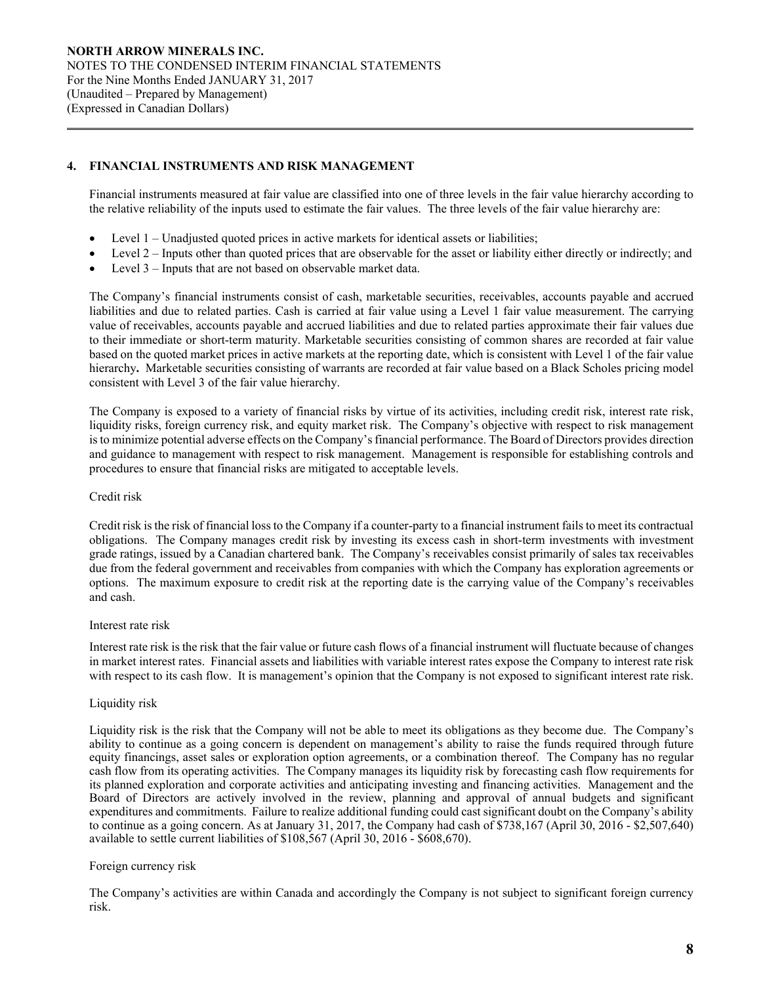## **4. FINANCIAL INSTRUMENTS AND RISK MANAGEMENT**

Financial instruments measured at fair value are classified into one of three levels in the fair value hierarchy according to the relative reliability of the inputs used to estimate the fair values. The three levels of the fair value hierarchy are:

- Level 1 Unadjusted quoted prices in active markets for identical assets or liabilities;
- Level 2 Inputs other than quoted prices that are observable for the asset or liability either directly or indirectly; and
- Level 3 Inputs that are not based on observable market data.

The Company's financial instruments consist of cash, marketable securities, receivables, accounts payable and accrued liabilities and due to related parties. Cash is carried at fair value using a Level 1 fair value measurement. The carrying value of receivables, accounts payable and accrued liabilities and due to related parties approximate their fair values due to their immediate or short-term maturity. Marketable securities consisting of common shares are recorded at fair value based on the quoted market prices in active markets at the reporting date, which is consistent with Level 1 of the fair value hierarchy**.** Marketable securities consisting of warrants are recorded at fair value based on a Black Scholes pricing model consistent with Level 3 of the fair value hierarchy.

The Company is exposed to a variety of financial risks by virtue of its activities, including credit risk, interest rate risk, liquidity risks, foreign currency risk, and equity market risk. The Company's objective with respect to risk management is to minimize potential adverse effects on the Company's financial performance. The Board of Directors provides direction and guidance to management with respect to risk management. Management is responsible for establishing controls and procedures to ensure that financial risks are mitigated to acceptable levels.

#### Credit risk

 $\overline{a}$ 

Credit risk is the risk of financial loss to the Company if a counter-party to a financial instrument fails to meet its contractual obligations. The Company manages credit risk by investing its excess cash in short-term investments with investment grade ratings, issued by a Canadian chartered bank. The Company's receivables consist primarily of sales tax receivables due from the federal government and receivables from companies with which the Company has exploration agreements or options. The maximum exposure to credit risk at the reporting date is the carrying value of the Company's receivables and cash.

#### Interest rate risk

Interest rate risk is the risk that the fair value or future cash flows of a financial instrument will fluctuate because of changes in market interest rates. Financial assets and liabilities with variable interest rates expose the Company to interest rate risk with respect to its cash flow. It is management's opinion that the Company is not exposed to significant interest rate risk.

#### Liquidity risk

Liquidity risk is the risk that the Company will not be able to meet its obligations as they become due. The Company's ability to continue as a going concern is dependent on management's ability to raise the funds required through future equity financings, asset sales or exploration option agreements, or a combination thereof. The Company has no regular cash flow from its operating activities. The Company manages its liquidity risk by forecasting cash flow requirements for its planned exploration and corporate activities and anticipating investing and financing activities. Management and the Board of Directors are actively involved in the review, planning and approval of annual budgets and significant expenditures and commitments. Failure to realize additional funding could cast significant doubt on the Company's ability to continue as a going concern. As at January 31, 2017, the Company had cash of \$738,167 (April 30, 2016 - \$2,507,640) available to settle current liabilities of \$108,567 (April 30, 2016 - \$608,670).

#### Foreign currency risk

 The Company's activities are within Canada and accordingly the Company is not subject to significant foreign currency risk.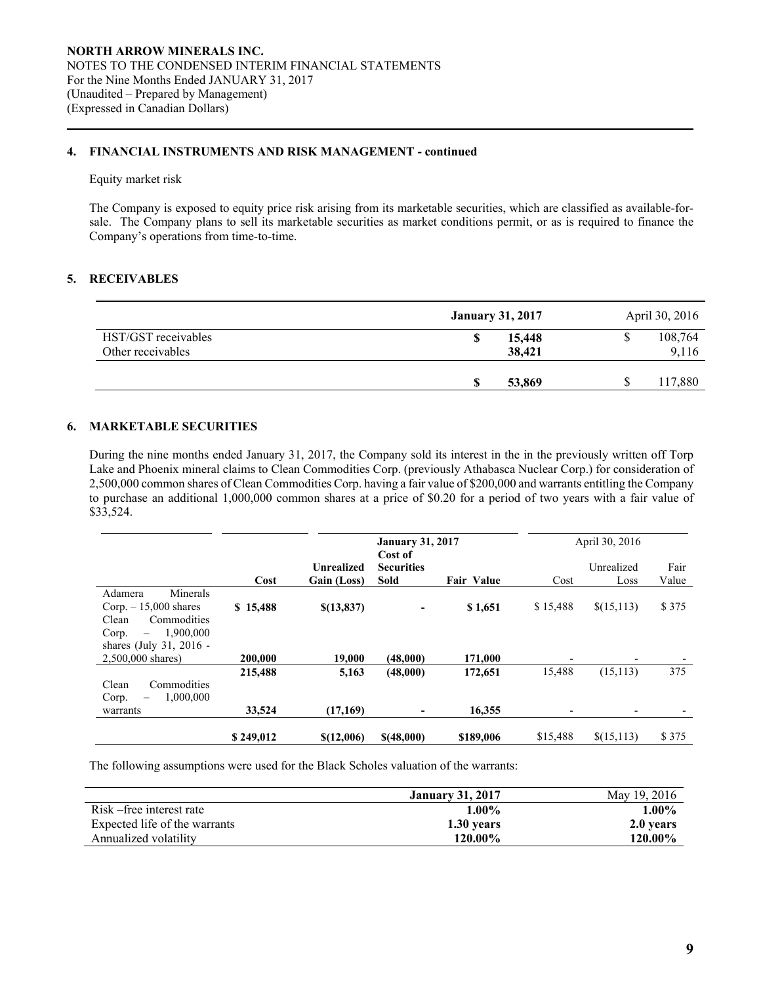### **4. FINANCIAL INSTRUMENTS AND RISK MANAGEMENT - continued**

#### Equity market risk

 $\overline{a}$ 

The Company is exposed to equity price risk arising from its marketable securities, which are classified as available-forsale. The Company plans to sell its marketable securities as market conditions permit, or as is required to finance the Company's operations from time-to-time.

### **5. RECEIVABLES**

|                     | <b>January 31, 2017</b> | April 30, 2016 |
|---------------------|-------------------------|----------------|
| HST/GST receivables | 15,448                  | 108,764        |
| Other receivables   | 38,421                  | 9,116          |
|                     |                         |                |
|                     | 53,869                  | 117,880        |

## **6. MARKETABLE SECURITIES**

 During the nine months ended January 31, 2017, the Company sold its interest in the in the previously written off Torp Lake and Phoenix mineral claims to Clean Commodities Corp. (previously Athabasca Nuclear Corp.) for consideration of 2,500,000 common shares of Clean Commodities Corp. having a fair value of \$200,000 and warrants entitling the Company to purchase an additional 1,000,000 common shares at a price of \$0.20 for a period of two years with a fair value of \$33,524.

|                                                                                                                  |                   | <b>January 31, 2017</b><br>Cost of |                           |                   |                                    | April 30, 2016           |               |
|------------------------------------------------------------------------------------------------------------------|-------------------|------------------------------------|---------------------------|-------------------|------------------------------------|--------------------------|---------------|
|                                                                                                                  | Cost              | Unrealized<br>Gain (Loss)          | <b>Securities</b><br>Sold | <b>Fair Value</b> | Cost                               | Unrealized<br>Loss       | Fair<br>Value |
| Minerals<br>Adamera<br>Corp. $-15,000$ shares<br>Clean<br>Commodities<br>1,900,000<br>Corp.<br>$\qquad \qquad -$ | \$15,488          | \$(13,837)                         | ۰                         | \$1,651           | \$15,488                           | \$(15,113)               | \$375         |
| shares (July 31, 2016 -<br>2,500,000 shares)                                                                     | 200,000           | 19,000                             | (48,000)                  | 171,000           | $\overline{\phantom{0}}$           | $\overline{\phantom{0}}$ |               |
| Clean<br>Commodities<br>1,000,000<br>Corp.<br>$\overline{\phantom{0}}$<br>warrants                               | 215,488<br>33,524 | 5,163<br>(17,169)                  | (48,000)                  | 172,651<br>16,355 | 15,488<br>$\overline{\phantom{0}}$ | (15, 113)<br>٠           | 375           |
|                                                                                                                  | \$249,012         | \$(12,006)                         | \$(48,000)                | \$189,006         | \$15,488                           | \$(15,113)               | \$375         |

The following assumptions were used for the Black Scholes valuation of the warrants:

|                               | <b>January 31, 2017</b> | May 19, 2016   |
|-------------------------------|-------------------------|----------------|
| Risk – free interest rate     | $1.00\%$                | $1.00\%$       |
| Expected life of the warrants | 1.30 years              | 2.0 years      |
| Annualized volatility         | 120.00%                 | <b>120.00%</b> |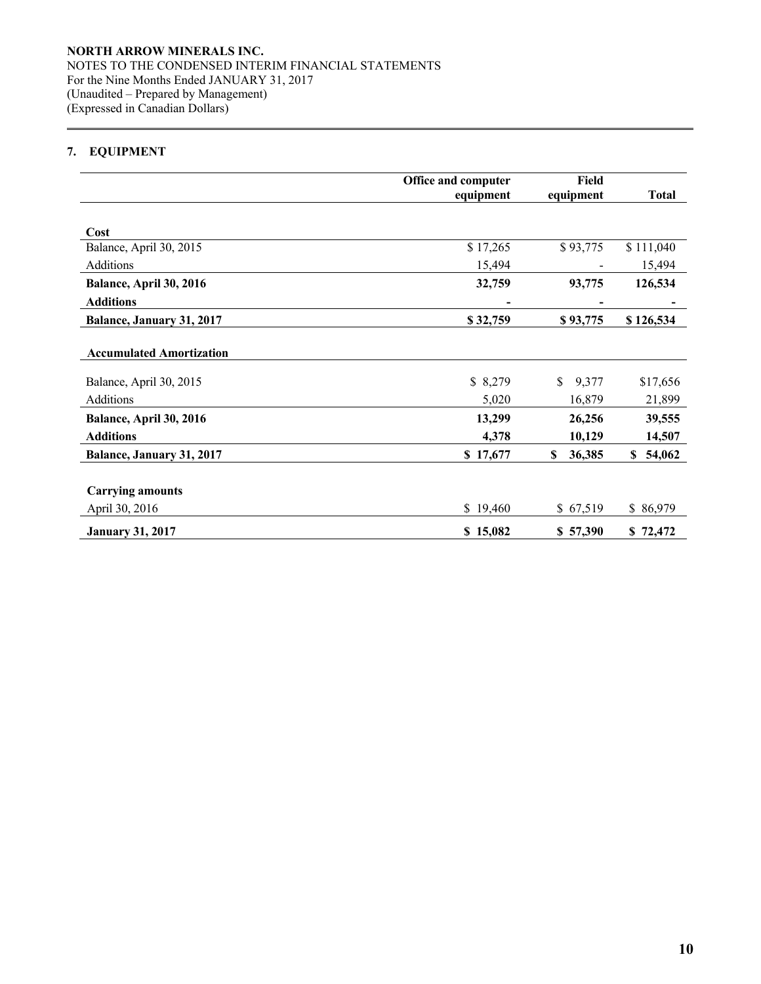# **7. EQUIPMENT**

 $\overline{a}$ 

|                                 | Office and computer | Field       |              |
|---------------------------------|---------------------|-------------|--------------|
|                                 | equipment           | equipment   | <b>Total</b> |
| Cost                            |                     |             |              |
| Balance, April 30, 2015         | \$17,265            | \$93,775    | \$111,040    |
| Additions                       | 15,494              |             | 15,494       |
| Balance, April 30, 2016         | 32,759              | 93,775      | 126,534      |
| <b>Additions</b>                |                     |             |              |
| Balance, January 31, 2017       | \$32,759            | \$93,775    | \$126,534    |
| <b>Accumulated Amortization</b> |                     |             |              |
| Balance, April 30, 2015         | \$8,279             | \$<br>9,377 | \$17,656     |
| Additions                       | 5,020               | 16,879      | 21,899       |
| Balance, April 30, 2016         | 13,299              | 26,256      | 39,555       |
| <b>Additions</b>                | 4,378               | 10,129      | 14,507       |
| Balance, January 31, 2017       | \$17,677            | 36,385<br>S | \$54,062     |
|                                 |                     |             |              |
| <b>Carrying amounts</b>         |                     |             |              |
| April 30, 2016                  | \$19,460            | \$67,519    | \$86,979     |
| <b>January 31, 2017</b>         | \$15,082            | \$57,390    | \$72,472     |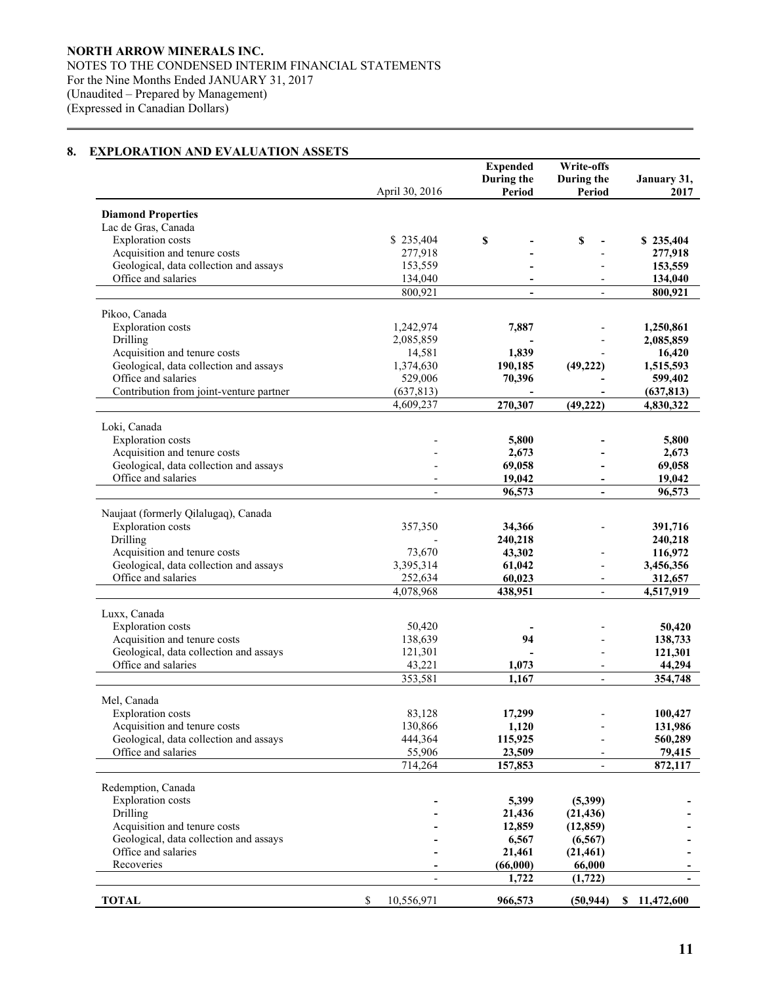# **8. EXPLORATION AND EVALUATION ASSETS**

 $\overline{a}$ 

|                                                               | April 30, 2016    | <b>Expended</b><br>During the<br>Period | Write-offs<br>During the<br>Period | January 31,<br>2017    |
|---------------------------------------------------------------|-------------------|-----------------------------------------|------------------------------------|------------------------|
|                                                               |                   |                                         |                                    |                        |
| <b>Diamond Properties</b>                                     |                   |                                         |                                    |                        |
| Lac de Gras, Canada<br><b>Exploration</b> costs               | \$235,404         | \$                                      | \$                                 | \$235,404              |
| Acquisition and tenure costs                                  | 277,918           |                                         |                                    | 277,918                |
| Geological, data collection and assays                        | 153,559           |                                         |                                    | 153,559                |
| Office and salaries                                           | 134,040           |                                         |                                    | 134,040                |
|                                                               | 800,921           | $\overline{\phantom{0}}$                |                                    | 800,921                |
|                                                               |                   |                                         |                                    |                        |
| Pikoo, Canada<br><b>Exploration</b> costs                     | 1,242,974         | 7,887                                   |                                    |                        |
| Drilling                                                      | 2,085,859         |                                         |                                    | 1,250,861<br>2,085,859 |
| Acquisition and tenure costs                                  | 14,581            | 1,839                                   |                                    | 16,420                 |
| Geological, data collection and assays                        | 1,374,630         | 190,185                                 | (49, 222)                          | 1,515,593              |
| Office and salaries                                           | 529,006           | 70,396                                  |                                    | 599,402                |
| Contribution from joint-venture partner                       | (637, 813)        |                                         |                                    | (637, 813)             |
|                                                               | 4,609,237         | 270,307                                 | (49, 222)                          | 4,830,322              |
| Loki, Canada                                                  |                   |                                         |                                    |                        |
| <b>Exploration</b> costs                                      |                   | 5,800                                   |                                    | 5,800                  |
| Acquisition and tenure costs                                  |                   | 2,673                                   |                                    | 2,673                  |
| Geological, data collection and assays                        |                   | 69,058                                  |                                    | 69,058                 |
| Office and salaries                                           |                   | 19,042                                  |                                    | 19,042                 |
|                                                               |                   | 96,573                                  |                                    | 96,573                 |
|                                                               |                   |                                         |                                    |                        |
| Naujaat (formerly Qilalugaq), Canada                          |                   |                                         |                                    |                        |
| <b>Exploration</b> costs<br>Drilling                          | 357,350           | 34,366                                  |                                    | 391,716                |
| Acquisition and tenure costs                                  | 73,670            | 240,218<br>43,302                       |                                    | 240,218<br>116,972     |
| Geological, data collection and assays                        | 3,395,314         | 61,042                                  |                                    | 3,456,356              |
| Office and salaries                                           | 252,634           | 60,023                                  | $\overline{\phantom{a}}$           | 312,657                |
|                                                               | 4,078,968         | 438,951                                 | $\blacksquare$                     | 4,517,919              |
|                                                               |                   |                                         |                                    |                        |
| Luxx, Canada                                                  |                   |                                         |                                    |                        |
| <b>Exploration</b> costs<br>Acquisition and tenure costs      | 50,420<br>138,639 | 94                                      |                                    | 50,420                 |
| Geological, data collection and assays                        | 121,301           |                                         |                                    | 138,733<br>121,301     |
| Office and salaries                                           | 43,221            | 1,073                                   | $\overline{\phantom{a}}$           | 44,294                 |
|                                                               | 353,581           | 1.167                                   |                                    | 354,748                |
|                                                               |                   |                                         |                                    |                        |
| Mel, Canada                                                   |                   |                                         |                                    |                        |
| <b>Exploration costs</b>                                      | 83,128            | 17,299                                  |                                    | 100,427                |
| Acquisition and tenure costs                                  | 130,866           | 1,120                                   |                                    | 131,986                |
| Geological, data collection and assays<br>Office and salaries | 444,364<br>55,906 | 115,925<br>23,509                       |                                    | 560,289<br>79,415      |
|                                                               | 714,264           | 157,853                                 | $\overline{\phantom{0}}$           | 872,117                |
|                                                               |                   |                                         |                                    |                        |
| Redemption, Canada                                            |                   |                                         |                                    |                        |
| <b>Exploration</b> costs                                      |                   | 5,399                                   | (5,399)                            |                        |
| Drilling                                                      |                   | 21,436                                  | (21, 436)                          |                        |
| Acquisition and tenure costs                                  |                   | 12,859                                  | (12, 859)                          |                        |
| Geological, data collection and assays<br>Office and salaries |                   | 6,567                                   | (6, 567)                           |                        |
| Recoveries                                                    |                   | 21,461<br>(66,000)                      | (21, 461)<br>66,000                |                        |
|                                                               |                   | 1,722                                   | (1, 722)                           |                        |
|                                                               |                   |                                         |                                    |                        |
| <b>TOTAL</b>                                                  | \$<br>10,556,971  | 966,573                                 | (50, 944)                          | \$11,472,600           |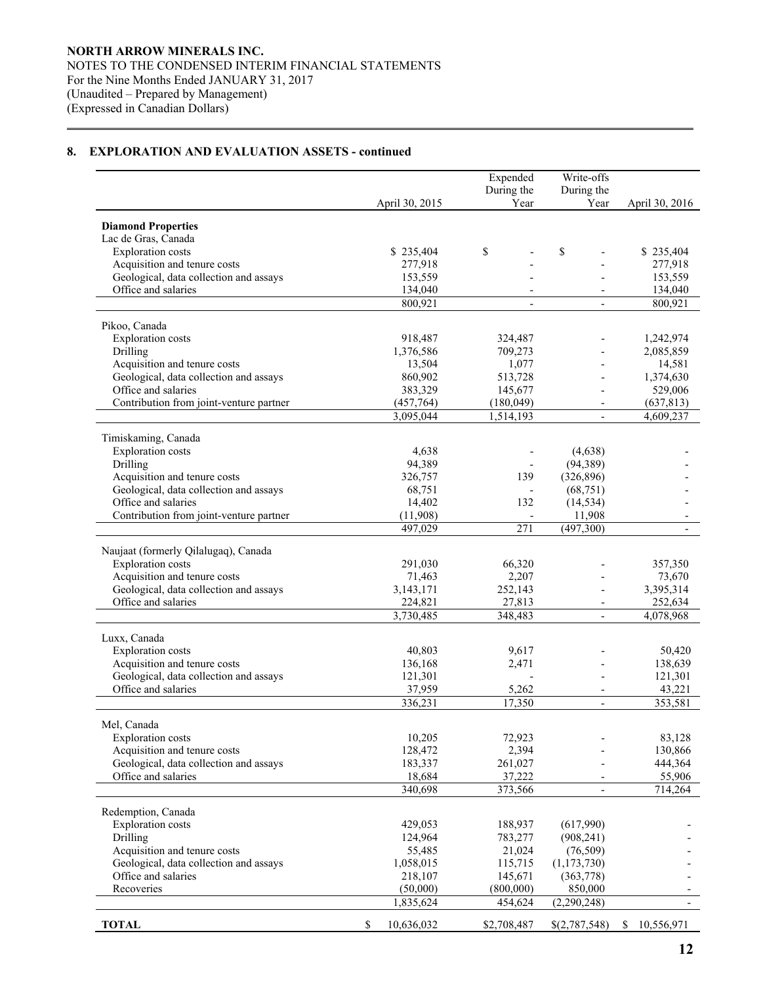$\overline{a}$ 

|                                                                        |              |                         | Expended                | Write-offs               |                         |
|------------------------------------------------------------------------|--------------|-------------------------|-------------------------|--------------------------|-------------------------|
|                                                                        |              |                         | During the              | During the               |                         |
|                                                                        |              | April 30, 2015          | Year                    | Year                     | April 30, 2016          |
| <b>Diamond Properties</b>                                              |              |                         |                         |                          |                         |
| Lac de Gras, Canada                                                    |              |                         |                         |                          |                         |
| <b>Exploration</b> costs                                               |              | \$235,404               | \$                      | \$                       | \$235,404               |
| Acquisition and tenure costs                                           |              | 277,918                 |                         |                          | 277,918                 |
| Geological, data collection and assays                                 |              | 153,559                 |                         |                          | 153,559                 |
| Office and salaries                                                    |              | 134,040                 |                         |                          | 134,040                 |
|                                                                        |              | 800,921                 | $\blacksquare$          | $\mathbf{r}$             | 800,921                 |
| Pikoo, Canada                                                          |              |                         |                         |                          |                         |
| <b>Exploration</b> costs                                               |              | 918,487                 | 324,487                 |                          | 1,242,974               |
| Drilling                                                               |              | 1,376,586               | 709,273                 |                          | 2,085,859               |
| Acquisition and tenure costs                                           |              | 13,504                  | 1,077                   |                          | 14,581                  |
| Geological, data collection and assays                                 |              | 860,902                 | 513,728                 |                          | 1,374,630               |
| Office and salaries                                                    |              | 383,329                 | 145,677                 |                          | 529,006                 |
| Contribution from joint-venture partner                                |              | (457, 764)<br>3,095,044 | (180, 049)<br>1,514,193 | $\overline{\phantom{a}}$ | (637, 813)<br>4,609,237 |
|                                                                        |              |                         |                         |                          |                         |
| Timiskaming, Canada                                                    |              |                         |                         |                          |                         |
| <b>Exploration</b> costs                                               |              | 4,638                   |                         | (4,638)                  |                         |
| Drilling                                                               |              | 94,389                  |                         | (94, 389)                |                         |
| Acquisition and tenure costs<br>Geological, data collection and assays |              | 326,757                 | 139                     | (326, 896)<br>(68, 751)  |                         |
| Office and salaries                                                    |              | 68,751<br>14,402        | 132                     | (14, 534)                |                         |
| Contribution from joint-venture partner                                |              | (11,908)                |                         | 11,908                   |                         |
|                                                                        |              | 497,029                 | 271                     | (497,300)                |                         |
|                                                                        |              |                         |                         |                          |                         |
| Naujaat (formerly Qilalugaq), Canada<br><b>Exploration</b> costs       |              |                         |                         |                          |                         |
| Acquisition and tenure costs                                           |              | 291,030<br>71,463       | 66,320<br>2,207         |                          | 357,350<br>73,670       |
| Geological, data collection and assays                                 |              | 3,143,171               | 252,143                 |                          | 3,395,314               |
| Office and salaries                                                    |              | 224,821                 | 27,813                  |                          | 252,634                 |
|                                                                        |              | 3,730,485               | 348,483                 | $\overline{\phantom{a}}$ | 4,078,968               |
|                                                                        |              |                         |                         |                          |                         |
| Luxx, Canada<br><b>Exploration</b> costs                               |              | 40,803                  | 9,617                   |                          | 50,420                  |
| Acquisition and tenure costs                                           |              | 136,168                 | 2,471                   |                          | 138,639                 |
| Geological, data collection and assays                                 |              | 121,301                 |                         |                          | 121,301                 |
| Office and salaries                                                    |              | 37,959                  | 5,262                   | $\overline{\phantom{a}}$ | 43,221                  |
|                                                                        |              | 336,231                 | 17,350                  | $\blacksquare$           | 353,581                 |
| Mel, Canada                                                            |              |                         |                         |                          |                         |
| <b>Exploration</b> costs                                               |              | 10,205                  | 72,923                  |                          | 83,128                  |
| Acquisition and tenure costs                                           |              | 128,472                 | 2,394                   |                          | 130,866                 |
| Geological, data collection and assays                                 |              | 183,337                 | 261,027                 |                          | 444,364                 |
| Office and salaries                                                    |              | 18,684                  | 37,222                  |                          | 55,906                  |
|                                                                        |              | 340,698                 | 373,566                 |                          | 714,264                 |
| Redemption, Canada                                                     |              |                         |                         |                          |                         |
| <b>Exploration</b> costs                                               |              | 429,053                 | 188,937                 | (617,990)                |                         |
| Drilling                                                               |              | 124,964                 | 783,277                 | (908, 241)               |                         |
| Acquisition and tenure costs                                           |              | 55,485                  | 21,024                  | (76,509)                 |                         |
| Geological, data collection and assays                                 |              | 1,058,015               | 115,715                 | (1, 173, 730)            |                         |
| Office and salaries                                                    |              | 218,107                 | 145,671                 | (363,778)                |                         |
| Recoveries                                                             |              | (50,000)                | (800,000)               | 850,000                  |                         |
|                                                                        |              | 1,835,624               | 454,624                 | (2,290,248)              |                         |
| <b>TOTAL</b>                                                           | $\mathbb{S}$ | 10,636,032              | \$2,708,487             | \$(2,787,548)            | \$<br>10,556,971        |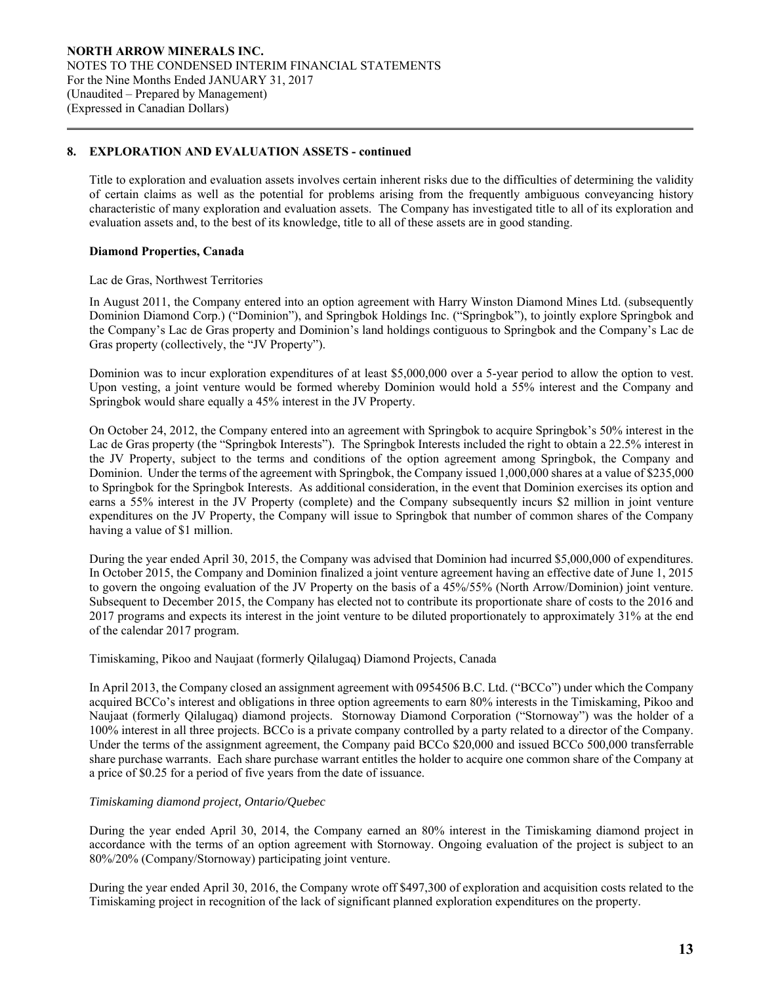Title to exploration and evaluation assets involves certain inherent risks due to the difficulties of determining the validity of certain claims as well as the potential for problems arising from the frequently ambiguous conveyancing history characteristic of many exploration and evaluation assets. The Company has investigated title to all of its exploration and evaluation assets and, to the best of its knowledge, title to all of these assets are in good standing.

### **Diamond Properties, Canada**

 $\overline{a}$ 

#### Lac de Gras, Northwest Territories

In August 2011, the Company entered into an option agreement with Harry Winston Diamond Mines Ltd. (subsequently Dominion Diamond Corp.) ("Dominion"), and Springbok Holdings Inc. ("Springbok"), to jointly explore Springbok and the Company's Lac de Gras property and Dominion's land holdings contiguous to Springbok and the Company's Lac de Gras property (collectively, the "JV Property").

Dominion was to incur exploration expenditures of at least \$5,000,000 over a 5-year period to allow the option to vest. Upon vesting, a joint venture would be formed whereby Dominion would hold a 55% interest and the Company and Springbok would share equally a 45% interest in the JV Property.

On October 24, 2012, the Company entered into an agreement with Springbok to acquire Springbok's 50% interest in the Lac de Gras property (the "Springbok Interests"). The Springbok Interests included the right to obtain a 22.5% interest in the JV Property, subject to the terms and conditions of the option agreement among Springbok, the Company and Dominion. Under the terms of the agreement with Springbok, the Company issued 1,000,000 shares at a value of \$235,000 to Springbok for the Springbok Interests. As additional consideration, in the event that Dominion exercises its option and earns a 55% interest in the JV Property (complete) and the Company subsequently incurs \$2 million in joint venture expenditures on the JV Property, the Company will issue to Springbok that number of common shares of the Company having a value of \$1 million.

During the year ended April 30, 2015, the Company was advised that Dominion had incurred \$5,000,000 of expenditures. In October 2015, the Company and Dominion finalized a joint venture agreement having an effective date of June 1, 2015 to govern the ongoing evaluation of the JV Property on the basis of a 45%/55% (North Arrow/Dominion) joint venture. Subsequent to December 2015, the Company has elected not to contribute its proportionate share of costs to the 2016 and 2017 programs and expects its interest in the joint venture to be diluted proportionately to approximately 31% at the end of the calendar 2017 program.

#### Timiskaming, Pikoo and Naujaat (formerly Qilalugaq) Diamond Projects, Canada

In April 2013, the Company closed an assignment agreement with 0954506 B.C. Ltd. ("BCCo") under which the Company acquired BCCo's interest and obligations in three option agreements to earn 80% interests in the Timiskaming, Pikoo and Naujaat (formerly Qilalugaq) diamond projects. Stornoway Diamond Corporation ("Stornoway") was the holder of a 100% interest in all three projects. BCCo is a private company controlled by a party related to a director of the Company. Under the terms of the assignment agreement, the Company paid BCCo \$20,000 and issued BCCo 500,000 transferrable share purchase warrants. Each share purchase warrant entitles the holder to acquire one common share of the Company at a price of \$0.25 for a period of five years from the date of issuance.

## *Timiskaming diamond project, Ontario/Quebec*

 During the year ended April 30, 2014, the Company earned an 80% interest in the Timiskaming diamond project in accordance with the terms of an option agreement with Stornoway. Ongoing evaluation of the project is subject to an 80%/20% (Company/Stornoway) participating joint venture.

 During the year ended April 30, 2016, the Company wrote off \$497,300 of exploration and acquisition costs related to the Timiskaming project in recognition of the lack of significant planned exploration expenditures on the property.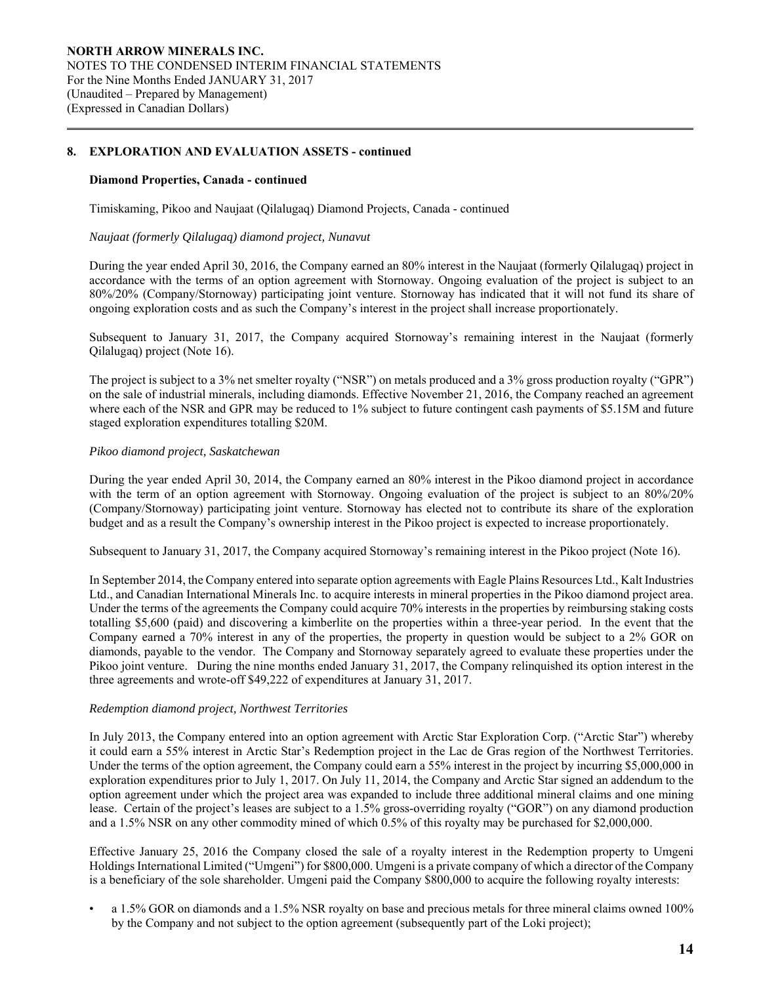### **Diamond Properties, Canada - continued**

 $\overline{a}$ 

Timiskaming, Pikoo and Naujaat (Qilalugaq) Diamond Projects, Canada - continued

#### *Naujaat (formerly Qilalugaq) diamond project, Nunavut*

During the year ended April 30, 2016, the Company earned an 80% interest in the Naujaat (formerly Qilalugaq) project in accordance with the terms of an option agreement with Stornoway. Ongoing evaluation of the project is subject to an 80%/20% (Company/Stornoway) participating joint venture. Stornoway has indicated that it will not fund its share of ongoing exploration costs and as such the Company's interest in the project shall increase proportionately.

Subsequent to January 31, 2017, the Company acquired Stornoway's remaining interest in the Naujaat (formerly Qilalugaq) project (Note 16).

The project is subject to a 3% net smelter royalty ("NSR") on metals produced and a 3% gross production royalty ("GPR") on the sale of industrial minerals, including diamonds. Effective November 21, 2016, the Company reached an agreement where each of the NSR and GPR may be reduced to 1% subject to future contingent cash payments of \$5.15M and future staged exploration expenditures totalling \$20M.

### *Pikoo diamond project, Saskatchewan*

During the year ended April 30, 2014, the Company earned an 80% interest in the Pikoo diamond project in accordance with the term of an option agreement with Stornoway. Ongoing evaluation of the project is subject to an 80%/20% (Company/Stornoway) participating joint venture. Stornoway has elected not to contribute its share of the exploration budget and as a result the Company's ownership interest in the Pikoo project is expected to increase proportionately.

Subsequent to January 31, 2017, the Company acquired Stornoway's remaining interest in the Pikoo project (Note 16).

In September 2014, the Company entered into separate option agreements with Eagle Plains Resources Ltd., Kalt Industries Ltd., and Canadian International Minerals Inc. to acquire interests in mineral properties in the Pikoo diamond project area. Under the terms of the agreements the Company could acquire 70% interests in the properties by reimbursing staking costs totalling \$5,600 (paid) and discovering a kimberlite on the properties within a three-year period. In the event that the Company earned a 70% interest in any of the properties, the property in question would be subject to a 2% GOR on diamonds, payable to the vendor. The Company and Stornoway separately agreed to evaluate these properties under the Pikoo joint venture. During the nine months ended January 31, 2017, the Company relinquished its option interest in the three agreements and wrote-off \$49,222 of expenditures at January 31, 2017.

## *Redemption diamond project, Northwest Territories*

In July 2013, the Company entered into an option agreement with Arctic Star Exploration Corp. ("Arctic Star") whereby it could earn a 55% interest in Arctic Star's Redemption project in the Lac de Gras region of the Northwest Territories. Under the terms of the option agreement, the Company could earn a 55% interest in the project by incurring \$5,000,000 in exploration expenditures prior to July 1, 2017. On July 11, 2014, the Company and Arctic Star signed an addendum to the option agreement under which the project area was expanded to include three additional mineral claims and one mining lease. Certain of the project's leases are subject to a 1.5% gross-overriding royalty ("GOR") on any diamond production and a 1.5% NSR on any other commodity mined of which 0.5% of this royalty may be purchased for \$2,000,000.

Effective January 25, 2016 the Company closed the sale of a royalty interest in the Redemption property to Umgeni Holdings International Limited ("Umgeni") for \$800,000. Umgeni is a private company of which a director of the Company is a beneficiary of the sole shareholder. Umgeni paid the Company \$800,000 to acquire the following royalty interests:

• a 1.5% GOR on diamonds and a 1.5% NSR royalty on base and precious metals for three mineral claims owned 100% by the Company and not subject to the option agreement (subsequently part of the Loki project);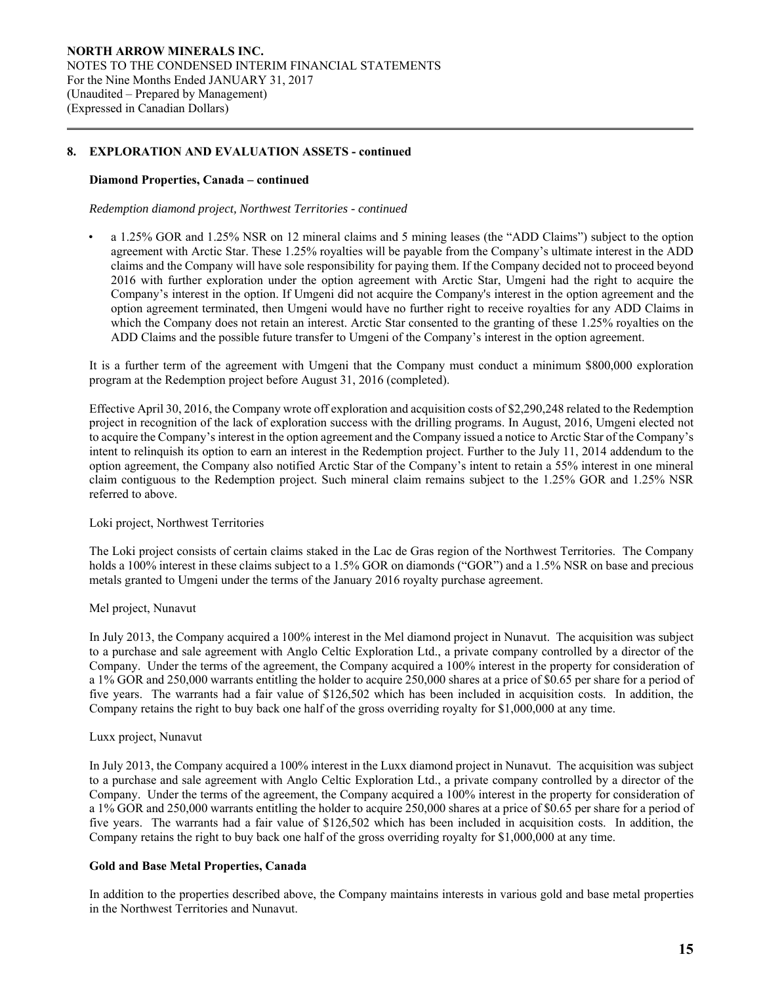### **Diamond Properties, Canada – continued**

 $\overline{a}$ 

*Redemption diamond project, Northwest Territories - continued* 

• a 1.25% GOR and 1.25% NSR on 12 mineral claims and 5 mining leases (the "ADD Claims") subject to the option agreement with Arctic Star. These 1.25% royalties will be payable from the Company's ultimate interest in the ADD claims and the Company will have sole responsibility for paying them. If the Company decided not to proceed beyond 2016 with further exploration under the option agreement with Arctic Star, Umgeni had the right to acquire the Company's interest in the option. If Umgeni did not acquire the Company's interest in the option agreement and the option agreement terminated, then Umgeni would have no further right to receive royalties for any ADD Claims in which the Company does not retain an interest. Arctic Star consented to the granting of these 1.25% royalties on the ADD Claims and the possible future transfer to Umgeni of the Company's interest in the option agreement.

It is a further term of the agreement with Umgeni that the Company must conduct a minimum \$800,000 exploration program at the Redemption project before August 31, 2016 (completed).

Effective April 30, 2016, the Company wrote off exploration and acquisition costs of \$2,290,248 related to the Redemption project in recognition of the lack of exploration success with the drilling programs. In August, 2016, Umgeni elected not to acquire the Company's interest in the option agreement and the Company issued a notice to Arctic Star of the Company's intent to relinquish its option to earn an interest in the Redemption project. Further to the July 11, 2014 addendum to the option agreement, the Company also notified Arctic Star of the Company's intent to retain a 55% interest in one mineral claim contiguous to the Redemption project. Such mineral claim remains subject to the 1.25% GOR and 1.25% NSR referred to above.

### Loki project, Northwest Territories

The Loki project consists of certain claims staked in the Lac de Gras region of the Northwest Territories. The Company holds a 100% interest in these claims subject to a 1.5% GOR on diamonds ("GOR") and a 1.5% NSR on base and precious metals granted to Umgeni under the terms of the January 2016 royalty purchase agreement.

#### Mel project, Nunavut

In July 2013, the Company acquired a 100% interest in the Mel diamond project in Nunavut. The acquisition was subject to a purchase and sale agreement with Anglo Celtic Exploration Ltd., a private company controlled by a director of the Company. Under the terms of the agreement, the Company acquired a 100% interest in the property for consideration of a 1% GOR and 250,000 warrants entitling the holder to acquire 250,000 shares at a price of \$0.65 per share for a period of five years. The warrants had a fair value of \$126,502 which has been included in acquisition costs. In addition, the Company retains the right to buy back one half of the gross overriding royalty for \$1,000,000 at any time.

#### Luxx project, Nunavut

In July 2013, the Company acquired a 100% interest in the Luxx diamond project in Nunavut. The acquisition was subject to a purchase and sale agreement with Anglo Celtic Exploration Ltd., a private company controlled by a director of the Company. Under the terms of the agreement, the Company acquired a 100% interest in the property for consideration of a 1% GOR and 250,000 warrants entitling the holder to acquire 250,000 shares at a price of \$0.65 per share for a period of five years. The warrants had a fair value of \$126,502 which has been included in acquisition costs. In addition, the Company retains the right to buy back one half of the gross overriding royalty for \$1,000,000 at any time.

### **Gold and Base Metal Properties, Canada**

 In addition to the properties described above, the Company maintains interests in various gold and base metal properties in the Northwest Territories and Nunavut.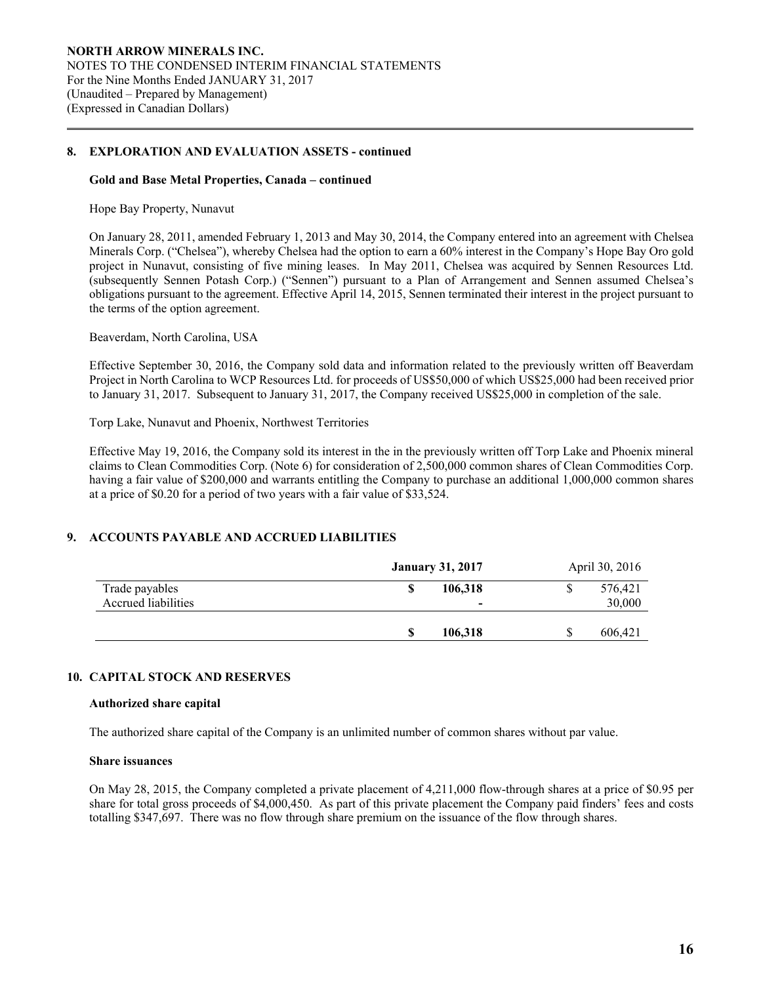#### **Gold and Base Metal Properties, Canada – continued**

Hope Bay Property, Nunavut

 $\overline{a}$ 

On January 28, 2011, amended February 1, 2013 and May 30, 2014, the Company entered into an agreement with Chelsea Minerals Corp. ("Chelsea"), whereby Chelsea had the option to earn a 60% interest in the Company's Hope Bay Oro gold project in Nunavut, consisting of five mining leases. In May 2011, Chelsea was acquired by Sennen Resources Ltd. (subsequently Sennen Potash Corp.) ("Sennen") pursuant to a Plan of Arrangement and Sennen assumed Chelsea's obligations pursuant to the agreement. Effective April 14, 2015, Sennen terminated their interest in the project pursuant to the terms of the option agreement.

Beaverdam, North Carolina, USA

Effective September 30, 2016, the Company sold data and information related to the previously written off Beaverdam Project in North Carolina to WCP Resources Ltd. for proceeds of US\$50,000 of which US\$25,000 had been received prior to January 31, 2017. Subsequent to January 31, 2017, the Company received US\$25,000 in completion of the sale.

Torp Lake, Nunavut and Phoenix, Northwest Territories

Effective May 19, 2016, the Company sold its interest in the in the previously written off Torp Lake and Phoenix mineral claims to Clean Commodities Corp. (Note 6) for consideration of 2,500,000 common shares of Clean Commodities Corp. having a fair value of \$200,000 and warrants entitling the Company to purchase an additional 1,000,000 common shares at a price of \$0.20 for a period of two years with a fair value of \$33,524.

## **9. ACCOUNTS PAYABLE AND ACCRUED LIABILITIES**

|                     |   | <b>January 31, 2017</b> | April 30, 2016 |
|---------------------|---|-------------------------|----------------|
| Trade payables      |   | 106.318                 | 576,421        |
| Accrued liabilities |   | -                       | 30,000         |
|                     |   |                         |                |
|                     | S | 106,318                 | 606,421        |

#### **10. CAPITAL STOCK AND RESERVES**

#### **Authorized share capital**

The authorized share capital of the Company is an unlimited number of common shares without par value.

#### **Share issuances**

On May 28, 2015, the Company completed a private placement of 4,211,000 flow-through shares at a price of \$0.95 per share for total gross proceeds of \$4,000,450. As part of this private placement the Company paid finders' fees and costs totalling \$347,697. There was no flow through share premium on the issuance of the flow through shares.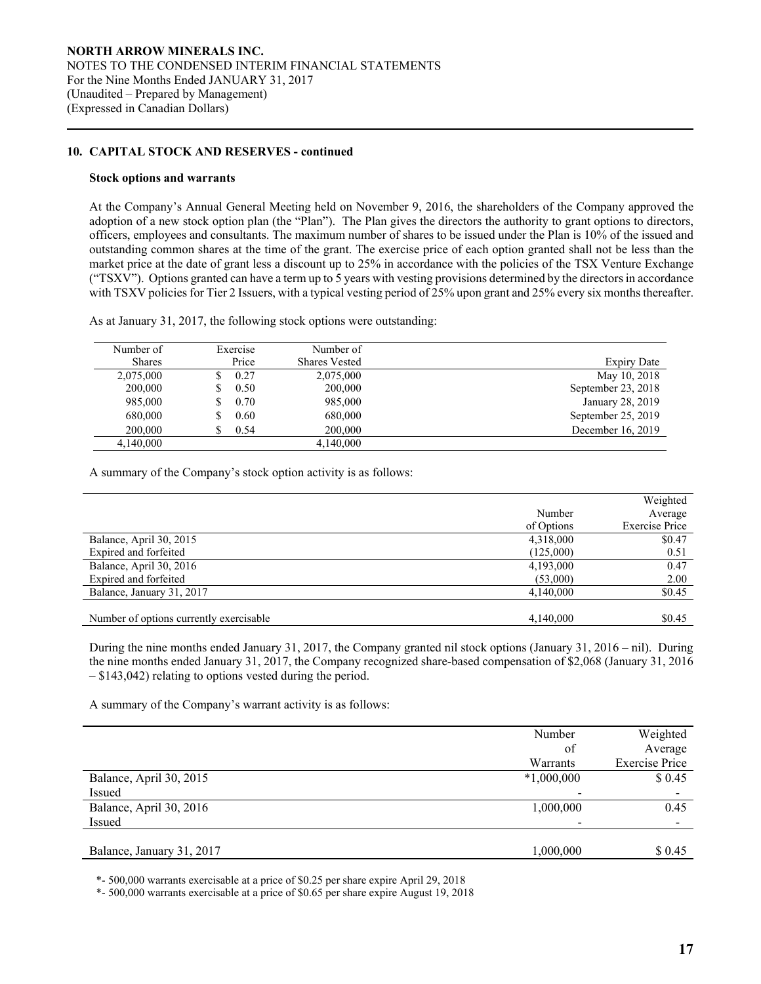### **10. CAPITAL STOCK AND RESERVES - continued**

#### **Stock options and warrants**

 $\overline{a}$ 

At the Company's Annual General Meeting held on November 9, 2016, the shareholders of the Company approved the adoption of a new stock option plan (the "Plan"). The Plan gives the directors the authority to grant options to directors, officers, employees and consultants. The maximum number of shares to be issued under the Plan is 10% of the issued and outstanding common shares at the time of the grant. The exercise price of each option granted shall not be less than the market price at the date of grant less a discount up to 25% in accordance with the policies of the TSX Venture Exchange ("TSXV"). Options granted can have a term up to 5 years with vesting provisions determined by the directors in accordance with TSXV policies for Tier 2 Issuers, with a typical vesting period of 25% upon grant and 25% every six months thereafter.

As at January 31, 2017, the following stock options were outstanding:

| Number of     | Exercise  | Number of            |                    |
|---------------|-----------|----------------------|--------------------|
| <b>Shares</b> | Price     | <b>Shares Vested</b> | <b>Expiry Date</b> |
| 2,075,000     | 0.27      | 2,075,000            | May 10, 2018       |
| 200,000       | 0.50<br>S | 200,000              | September 23, 2018 |
| 985,000       | 0.70<br>S | 985,000              | January 28, 2019   |
| 680,000       | 0.60      | 680,000              | September 25, 2019 |
| 200,000       | 0.54      | 200,000              | December 16, 2019  |
| 4,140,000     |           | 4,140,000            |                    |

A summary of the Company's stock option activity is as follows:

|                                         |            | Weighted              |
|-----------------------------------------|------------|-----------------------|
|                                         | Number     | Average               |
|                                         | of Options | <b>Exercise Price</b> |
| Balance, April 30, 2015                 | 4,318,000  | \$0.47                |
| Expired and forfeited                   | (125,000)  | 0.51                  |
| Balance, April 30, 2016                 | 4,193,000  | 0.47                  |
| Expired and forfeited                   | (53,000)   | 2.00                  |
| Balance, January 31, 2017               | 4,140,000  | \$0.45                |
|                                         |            |                       |
| Number of options currently exercisable | 4,140,000  | \$0.45                |

 During the nine months ended January 31, 2017, the Company granted nil stock options (January 31, 2016 – nil). During the nine months ended January 31, 2017, the Company recognized share-based compensation of \$2,068 (January 31, 2016 – \$143,042) relating to options vested during the period.

A summary of the Company's warrant activity is as follows:

|                           | Number       | Weighted              |
|---------------------------|--------------|-----------------------|
|                           | of           | Average               |
|                           | Warrants     | <b>Exercise Price</b> |
| Balance, April 30, 2015   | $*1,000,000$ | \$0.45                |
| Issued                    | -            |                       |
| Balance, April 30, 2016   | 1,000,000    | 0.45                  |
| Issued                    | $\,$         |                       |
|                           |              |                       |
| Balance, January 31, 2017 | 1,000,000    | \$ 0.45               |

\*- 500,000 warrants exercisable at a price of \$0.25 per share expire April 29, 2018

\*- 500,000 warrants exercisable at a price of \$0.65 per share expire August 19, 2018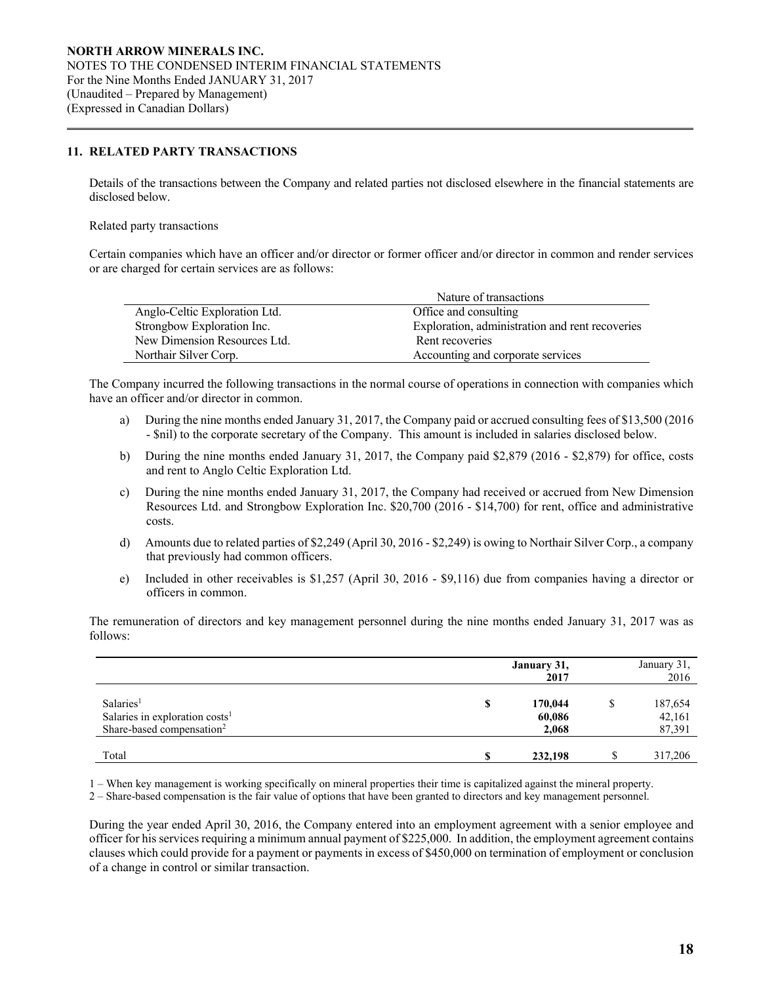### **11. RELATED PARTY TRANSACTIONS**

 Details of the transactions between the Company and related parties not disclosed elsewhere in the financial statements are disclosed below.

#### Related party transactions

 $\overline{a}$ 

Certain companies which have an officer and/or director or former officer and/or director in common and render services or are charged for certain services are as follows:

|                               | Nature of transactions                          |
|-------------------------------|-------------------------------------------------|
| Anglo-Celtic Exploration Ltd. | Office and consulting                           |
| Strongbow Exploration Inc.    | Exploration, administration and rent recoveries |
| New Dimension Resources Ltd.  | Rent recoveries                                 |
| Northair Silver Corp.         | Accounting and corporate services               |

The Company incurred the following transactions in the normal course of operations in connection with companies which have an officer and/or director in common.

- a) During the nine months ended January 31, 2017, the Company paid or accrued consulting fees of \$13,500 (2016 - \$nil) to the corporate secretary of the Company. This amount is included in salaries disclosed below.
- b) During the nine months ended January 31, 2017, the Company paid \$2,879 (2016 \$2,879) for office, costs and rent to Anglo Celtic Exploration Ltd.
- c) During the nine months ended January 31, 2017, the Company had received or accrued from New Dimension Resources Ltd. and Strongbow Exploration Inc. \$20,700 (2016 - \$14,700) for rent, office and administrative costs.
- d) Amounts due to related parties of \$2,249 (April 30, 2016 \$2,249) is owing to Northair Silver Corp., a company that previously had common officers.
- e) Included in other receivables is \$1,257 (April 30, 2016 \$9,116) due from companies having a director or officers in common.

 The remuneration of directors and key management personnel during the nine months ended January 31, 2017 was as follows:

|                                                                                                              |   | January 31,<br>2017        |   | January 31,<br>2016         |
|--------------------------------------------------------------------------------------------------------------|---|----------------------------|---|-----------------------------|
| Salaries <sup>1</sup><br>Salaries in exploration costs <sup>1</sup><br>Share-based compensation <sup>2</sup> | S | 170,044<br>60,086<br>2,068 | S | 187,654<br>42,161<br>87,391 |
| Total                                                                                                        |   | 232,198                    |   | 317,206                     |

1 – When key management is working specifically on mineral properties their time is capitalized against the mineral property.

2 – Share-based compensation is the fair value of options that have been granted to directors and key management personnel.

During the year ended April 30, 2016, the Company entered into an employment agreement with a senior employee and officer for his services requiring a minimum annual payment of \$225,000. In addition, the employment agreement contains clauses which could provide for a payment or payments in excess of \$450,000 on termination of employment or conclusion of a change in control or similar transaction.